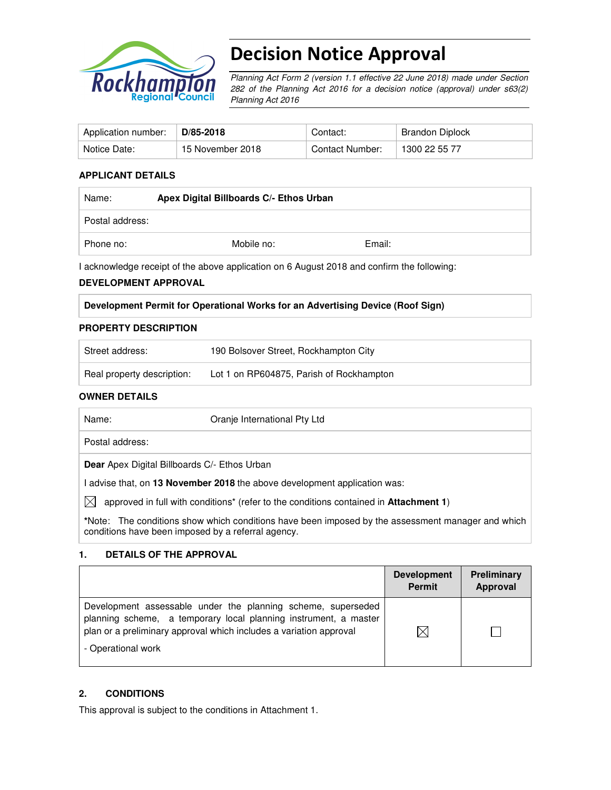

# Decision Notice Approval

Planning Act Form 2 (version 1.1 effective 22 June 2018) made under Section 282 of the Planning Act 2016 for a decision notice (approval) under s63(2) Planning Act 2016

| Application number: | $\mathsf{D}/85\text{-}2018$ | Contact:        | Brandon Diplock |
|---------------------|-----------------------------|-----------------|-----------------|
| Notice Date:        | 15 November 2018            | Contact Number: | 1300 22 55 77   |

### **APPLICANT DETAILS**

| Name:           | Apex Digital Billboards C/- Ethos Urban |        |  |
|-----------------|-----------------------------------------|--------|--|
| Postal address: |                                         |        |  |
| Phone no:       | Mobile no:                              | Email: |  |

I acknowledge receipt of the above application on 6 August 2018 and confirm the following:

#### **DEVELOPMENT APPROVAL**

| Development Permit for Operational Works for an Advertising Device (Roof Sign) |  |  |
|--------------------------------------------------------------------------------|--|--|
|                                                                                |  |  |

# **PROPERTY DESCRIPTION**

| Street address:            | 190 Bolsover Street, Rockhampton City    |
|----------------------------|------------------------------------------|
| Real property description: | Lot 1 on RP604875, Parish of Rockhampton |

#### **OWNER DETAILS**

| Name:                                               | Oranje International Pty Ltd                                                                             |
|-----------------------------------------------------|----------------------------------------------------------------------------------------------------------|
| Postal address:                                     |                                                                                                          |
| <b>Dear</b> Apex Digital Billboards C/- Ethos Urban |                                                                                                          |
|                                                     | I advise that, on 13 November 2018 the above development application was:                                |
| $\boxtimes$                                         | approved in full with conditions <sup>*</sup> (refer to the conditions contained in <b>Attachment 1)</b> |
|                                                     | *Note: The conditions show which conditions have been imposed by the assessment manager and which        |

**\***Note:The conditions show which conditions have been imposed by the assessment manager and which conditions have been imposed by a referral agency.

#### **1. DETAILS OF THE APPROVAL**

|                                                                                                                                                                                                                              | <b>Development</b><br><b>Permit</b> | <b>Preliminary</b><br>Approval |
|------------------------------------------------------------------------------------------------------------------------------------------------------------------------------------------------------------------------------|-------------------------------------|--------------------------------|
| Development assessable under the planning scheme, superseded<br>planning scheme, a temporary local planning instrument, a master<br>plan or a preliminary approval which includes a variation approval<br>- Operational work |                                     |                                |

#### **2. CONDITIONS**

This approval is subject to the conditions in Attachment 1.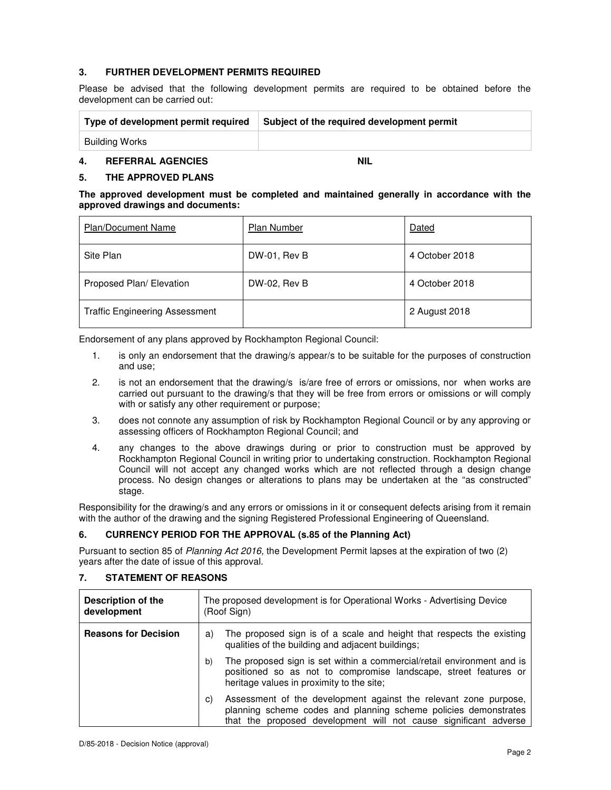#### **3. FURTHER DEVELOPMENT PERMITS REQUIRED**

Please be advised that the following development permits are required to be obtained before the development can be carried out:

| Type of development permit required | Subject of the required development permit |
|-------------------------------------|--------------------------------------------|
| Building Works                      |                                            |

#### **4. REFERRAL AGENCIES NIL**

## **5. THE APPROVED PLANS**

| The approved development must be completed and maintained generally in accordance with the |  |  |  |  |  |
|--------------------------------------------------------------------------------------------|--|--|--|--|--|
| approved drawings and documents:                                                           |  |  |  |  |  |

| <b>Plan/Document Name</b>             | Plan Number  | Dated          |
|---------------------------------------|--------------|----------------|
| Site Plan                             | DW-01, Rev B | 4 October 2018 |
| Proposed Plan/ Elevation              | DW-02, Rev B | 4 October 2018 |
| <b>Traffic Engineering Assessment</b> |              | 2 August 2018  |

Endorsement of any plans approved by Rockhampton Regional Council:

- 1. is only an endorsement that the drawing/s appear/s to be suitable for the purposes of construction and use;
- 2. is not an endorsement that the drawing/s is/are free of errors or omissions, nor when works are carried out pursuant to the drawing/s that they will be free from errors or omissions or will comply with or satisfy any other requirement or purpose;
- 3. does not connote any assumption of risk by Rockhampton Regional Council or by any approving or assessing officers of Rockhampton Regional Council; and
- 4. any changes to the above drawings during or prior to construction must be approved by Rockhampton Regional Council in writing prior to undertaking construction. Rockhampton Regional Council will not accept any changed works which are not reflected through a design change process. No design changes or alterations to plans may be undertaken at the "as constructed" stage.

Responsibility for the drawing/s and any errors or omissions in it or consequent defects arising from it remain with the author of the drawing and the signing Registered Professional Engineering of Queensland.

# **6. CURRENCY PERIOD FOR THE APPROVAL (s.85 of the Planning Act)**

Pursuant to section 85 of Planning Act 2016, the Development Permit lapses at the expiration of two (2) years after the date of issue of this approval.

| <b>Description of the</b><br>development | The proposed development is for Operational Works - Advertising Device<br>(Roof Sign)                                                                                                                         |  |  |
|------------------------------------------|---------------------------------------------------------------------------------------------------------------------------------------------------------------------------------------------------------------|--|--|
| <b>Reasons for Decision</b>              | The proposed sign is of a scale and height that respects the existing<br>a)<br>qualities of the building and adjacent buildings;                                                                              |  |  |
|                                          | The proposed sign is set within a commercial/retail environment and is<br>b)<br>positioned so as not to compromise landscape, street features or<br>heritage values in proximity to the site;                 |  |  |
|                                          | Assessment of the development against the relevant zone purpose,<br>C)<br>planning scheme codes and planning scheme policies demonstrates<br>that the proposed development will not cause significant adverse |  |  |

## **7. STATEMENT OF REASONS**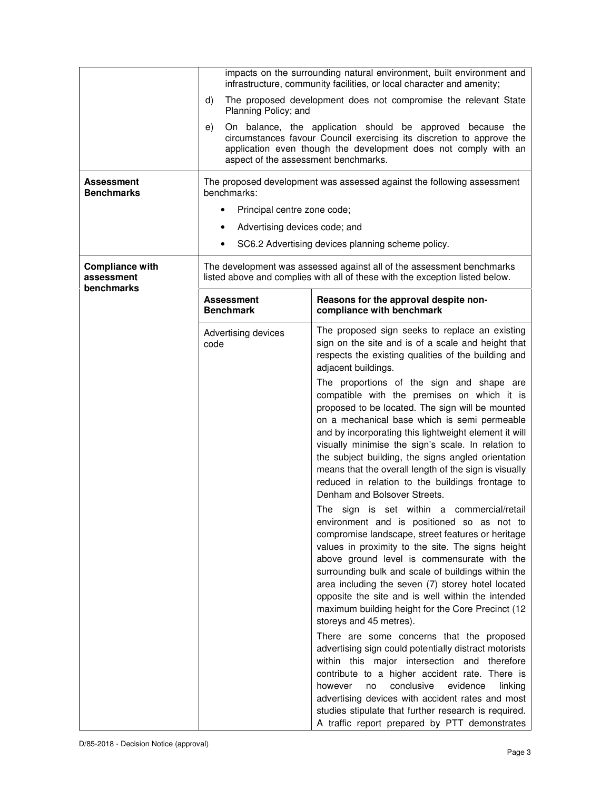|                                                    | impacts on the surrounding natural environment, built environment and<br>infrastructure, community facilities, or local character and amenity;<br>The proposed development does not compromise the relevant State<br>d)<br>Planning Policy; and |                                                                                                                                                                                                                                                                                                                                                                                                                                                                                                                                                                                                                                                         |  |  |
|----------------------------------------------------|-------------------------------------------------------------------------------------------------------------------------------------------------------------------------------------------------------------------------------------------------|---------------------------------------------------------------------------------------------------------------------------------------------------------------------------------------------------------------------------------------------------------------------------------------------------------------------------------------------------------------------------------------------------------------------------------------------------------------------------------------------------------------------------------------------------------------------------------------------------------------------------------------------------------|--|--|
|                                                    |                                                                                                                                                                                                                                                 |                                                                                                                                                                                                                                                                                                                                                                                                                                                                                                                                                                                                                                                         |  |  |
|                                                    | e)<br>aspect of the assessment benchmarks.                                                                                                                                                                                                      | On balance, the application should be approved because the<br>circumstances favour Council exercising its discretion to approve the<br>application even though the development does not comply with an                                                                                                                                                                                                                                                                                                                                                                                                                                                  |  |  |
| Assessment<br><b>Benchmarks</b>                    | The proposed development was assessed against the following assessment<br>benchmarks:<br>Principal centre zone code;                                                                                                                            |                                                                                                                                                                                                                                                                                                                                                                                                                                                                                                                                                                                                                                                         |  |  |
|                                                    | Advertising devices code; and<br>٠                                                                                                                                                                                                              |                                                                                                                                                                                                                                                                                                                                                                                                                                                                                                                                                                                                                                                         |  |  |
|                                                    | $\bullet$                                                                                                                                                                                                                                       | SC6.2 Advertising devices planning scheme policy.                                                                                                                                                                                                                                                                                                                                                                                                                                                                                                                                                                                                       |  |  |
| <b>Compliance with</b><br>assessment<br>benchmarks |                                                                                                                                                                                                                                                 | The development was assessed against all of the assessment benchmarks<br>listed above and complies with all of these with the exception listed below.                                                                                                                                                                                                                                                                                                                                                                                                                                                                                                   |  |  |
|                                                    | Assessment<br><b>Benchmark</b>                                                                                                                                                                                                                  | Reasons for the approval despite non-<br>compliance with benchmark                                                                                                                                                                                                                                                                                                                                                                                                                                                                                                                                                                                      |  |  |
|                                                    | Advertising devices<br>code                                                                                                                                                                                                                     | The proposed sign seeks to replace an existing<br>sign on the site and is of a scale and height that<br>respects the existing qualities of the building and<br>adjacent buildings.                                                                                                                                                                                                                                                                                                                                                                                                                                                                      |  |  |
|                                                    |                                                                                                                                                                                                                                                 | The proportions of the sign and shape are<br>compatible with the premises on which it is<br>proposed to be located. The sign will be mounted<br>on a mechanical base which is semi permeable<br>and by incorporating this lightweight element it will<br>visually minimise the sign's scale. In relation to<br>the subject building, the signs angled orientation<br>means that the overall length of the sign is visually<br>reduced in relation to the buildings frontage to<br>Denham and Bolsover Streets.                                                                                                                                          |  |  |
|                                                    |                                                                                                                                                                                                                                                 | The sign is set within a commercial/retail<br>environment and is positioned so as not to<br>compromise landscape, street features or heritage<br>values in proximity to the site. The signs height<br>above ground level is commensurate with the<br>surrounding bulk and scale of buildings within the<br>area including the seven (7) storey hotel located<br>opposite the site and is well within the intended<br>maximum building height for the Core Precinct (12<br>storeys and 45 metres).<br>There are some concerns that the proposed<br>advertising sign could potentially distract motorists<br>within this major intersection and therefore |  |  |
|                                                    |                                                                                                                                                                                                                                                 | contribute to a higher accident rate. There is<br>evidence<br>however<br>conclusive<br>no<br>linking<br>advertising devices with accident rates and most<br>studies stipulate that further research is required.<br>A traffic report prepared by PTT demonstrates                                                                                                                                                                                                                                                                                                                                                                                       |  |  |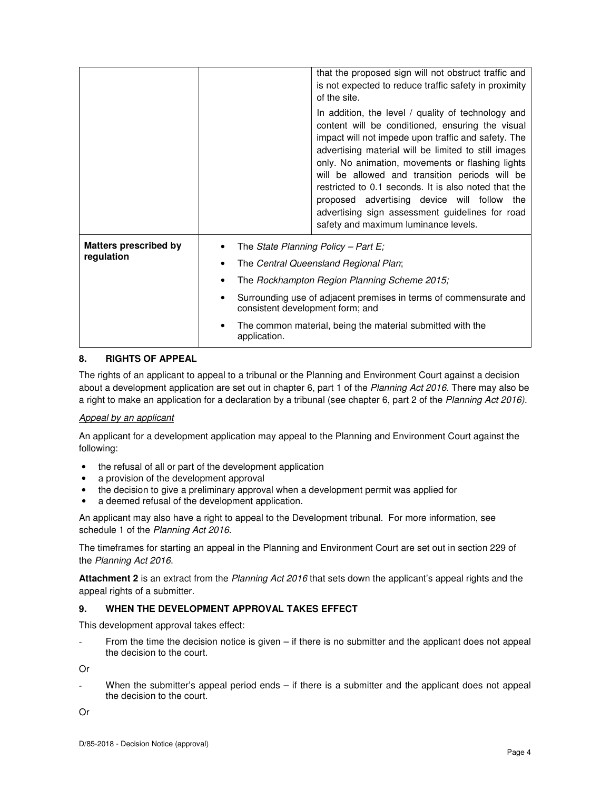|                              |                                  | that the proposed sign will not obstruct traffic and<br>is not expected to reduce traffic safety in proximity<br>of the site.<br>In addition, the level / quality of technology and<br>content will be conditioned, ensuring the visual                                                                                                                                                                             |  |  |
|------------------------------|----------------------------------|---------------------------------------------------------------------------------------------------------------------------------------------------------------------------------------------------------------------------------------------------------------------------------------------------------------------------------------------------------------------------------------------------------------------|--|--|
|                              |                                  | impact will not impede upon traffic and safety. The<br>advertising material will be limited to still images<br>only. No animation, movements or flashing lights<br>will be allowed and transition periods will be<br>restricted to 0.1 seconds. It is also noted that the<br>proposed advertising device will follow the<br>advertising sign assessment guidelines for road<br>safety and maximum luminance levels. |  |  |
| <b>Matters prescribed by</b> |                                  | The State Planning Policy – Part E;                                                                                                                                                                                                                                                                                                                                                                                 |  |  |
| regulation                   |                                  | The Central Queensland Regional Plan;                                                                                                                                                                                                                                                                                                                                                                               |  |  |
|                              |                                  | The Rockhampton Region Planning Scheme 2015;                                                                                                                                                                                                                                                                                                                                                                        |  |  |
|                              | consistent development form; and | Surrounding use of adjacent premises in terms of commensurate and                                                                                                                                                                                                                                                                                                                                                   |  |  |
|                              | application.                     | The common material, being the material submitted with the                                                                                                                                                                                                                                                                                                                                                          |  |  |

#### **8. RIGHTS OF APPEAL**

The rights of an applicant to appeal to a tribunal or the Planning and Environment Court against a decision about a development application are set out in chapter 6, part 1 of the Planning Act 2016. There may also be a right to make an application for a declaration by a tribunal (see chapter 6, part 2 of the Planning Act 2016).

#### Appeal by an applicant

An applicant for a development application may appeal to the Planning and Environment Court against the following:

- the refusal of all or part of the development application
- a provision of the development approval
- the decision to give a preliminary approval when a development permit was applied for
- a deemed refusal of the development application.

An applicant may also have a right to appeal to the Development tribunal. For more information, see schedule 1 of the Planning Act 2016.

The timeframes for starting an appeal in the Planning and Environment Court are set out in section 229 of the Planning Act 2016.

**Attachment 2** is an extract from the Planning Act 2016 that sets down the applicant's appeal rights and the appeal rights of a submitter.

#### **9. WHEN THE DEVELOPMENT APPROVAL TAKES EFFECT**

This development approval takes effect:

From the time the decision notice is given  $-$  if there is no submitter and the applicant does not appeal the decision to the court.

Or

When the submitter's appeal period ends  $-$  if there is a submitter and the applicant does not appeal the decision to the court.

Or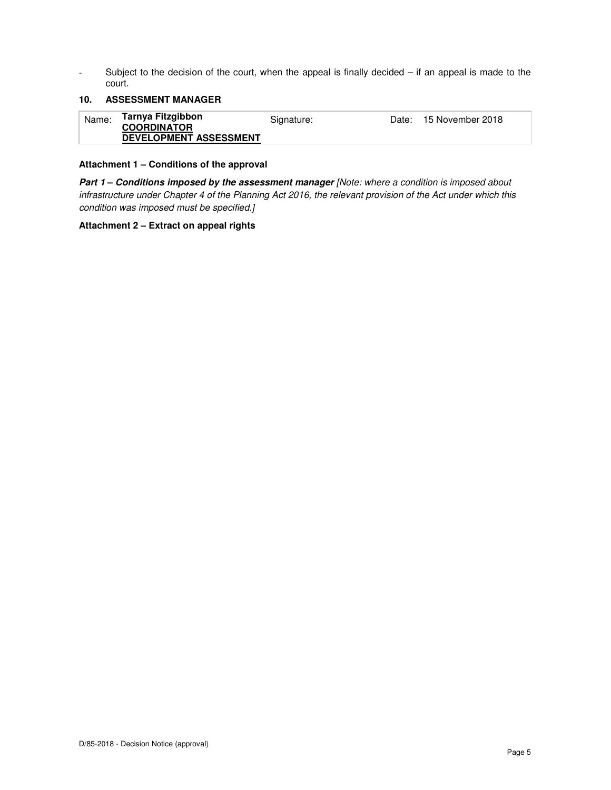- Subject to the decision of the court, when the appeal is finally decided – if an appeal is made to the court.

### **10. ASSESSMENT MANAGER**

| Name: | Tarnya Fitzgibbon<br><b>COORDINATOR</b> | Signature: | Date: 15 November 2018 |
|-------|-----------------------------------------|------------|------------------------|
|       | <b>DEVELOPMENT ASSESSMENT</b>           |            |                        |

### **Attachment 1 – Conditions of the approval**

Part 1 - Conditions imposed by the assessment manager [Note: where a condition is imposed about infrastructure under Chapter 4 of the Planning Act 2016, the relevant provision of the Act under which this condition was imposed must be specified.]

#### **Attachment 2 – Extract on appeal rights**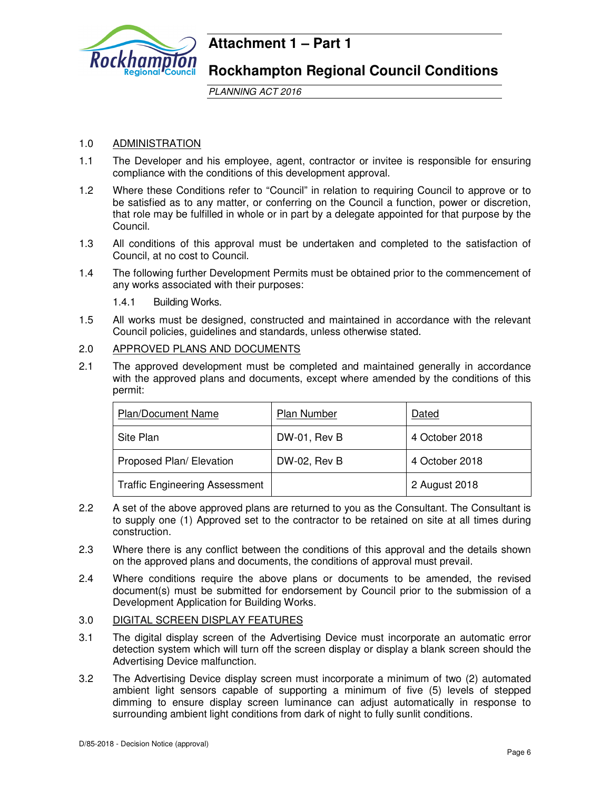

# **Attachment 1 – Part 1**

**Rockhampton Regional Council Conditions**

PLANNING ACT 2016

# 1.0 ADMINISTRATION

- 1.1 The Developer and his employee, agent, contractor or invitee is responsible for ensuring compliance with the conditions of this development approval.
- 1.2 Where these Conditions refer to "Council" in relation to requiring Council to approve or to be satisfied as to any matter, or conferring on the Council a function, power or discretion, that role may be fulfilled in whole or in part by a delegate appointed for that purpose by the Council.
- 1.3 All conditions of this approval must be undertaken and completed to the satisfaction of Council, at no cost to Council.
- 1.4 The following further Development Permits must be obtained prior to the commencement of any works associated with their purposes:
	- 1.4.1 Building Works.
- 1.5 All works must be designed, constructed and maintained in accordance with the relevant Council policies, guidelines and standards, unless otherwise stated.

# 2.0 APPROVED PLANS AND DOCUMENTS

2.1 The approved development must be completed and maintained generally in accordance with the approved plans and documents, except where amended by the conditions of this permit:

| <b>Plan/Document Name</b>             | <b>Plan Number</b> | Dated          |
|---------------------------------------|--------------------|----------------|
| Site Plan                             | DW-01, Rev B       | 4 October 2018 |
| Proposed Plan/ Elevation              | $DW-02$ , Rev B    | 4 October 2018 |
| <b>Traffic Engineering Assessment</b> |                    | 2 August 2018  |

- 2.2 A set of the above approved plans are returned to you as the Consultant. The Consultant is to supply one (1) Approved set to the contractor to be retained on site at all times during construction.
- 2.3 Where there is any conflict between the conditions of this approval and the details shown on the approved plans and documents, the conditions of approval must prevail.
- 2.4 Where conditions require the above plans or documents to be amended, the revised document(s) must be submitted for endorsement by Council prior to the submission of a Development Application for Building Works.
- 3.0 DIGITAL SCREEN DISPLAY FEATURES
- 3.1 The digital display screen of the Advertising Device must incorporate an automatic error detection system which will turn off the screen display or display a blank screen should the Advertising Device malfunction.
- 3.2 The Advertising Device display screen must incorporate a minimum of two (2) automated ambient light sensors capable of supporting a minimum of five (5) levels of stepped dimming to ensure display screen luminance can adjust automatically in response to surrounding ambient light conditions from dark of night to fully sunlit conditions.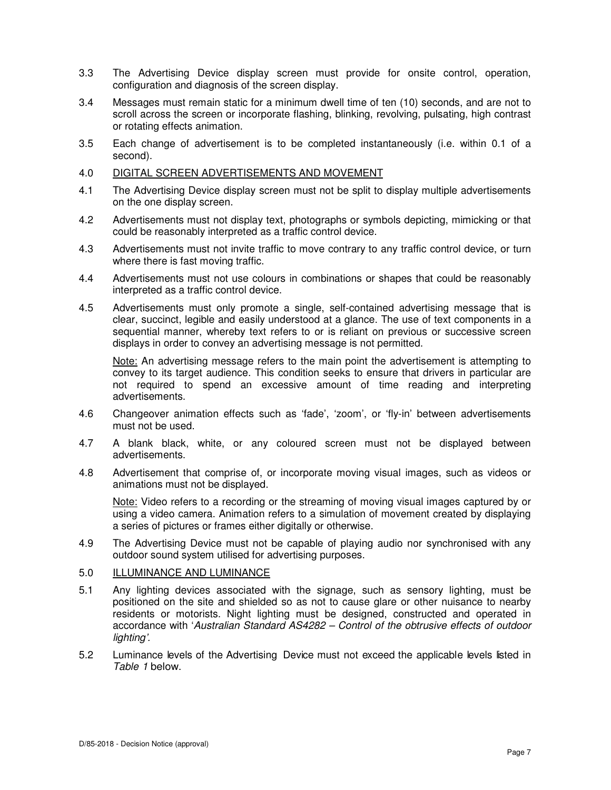- 3.3 The Advertising Device display screen must provide for onsite control, operation, configuration and diagnosis of the screen display.
- 3.4 Messages must remain static for a minimum dwell time of ten (10) seconds, and are not to scroll across the screen or incorporate flashing, blinking, revolving, pulsating, high contrast or rotating effects animation.
- 3.5 Each change of advertisement is to be completed instantaneously (i.e. within 0.1 of a second).

#### 4.0 DIGITAL SCREEN ADVERTISEMENTS AND MOVEMENT

- 4.1 The Advertising Device display screen must not be split to display multiple advertisements on the one display screen.
- 4.2 Advertisements must not display text, photographs or symbols depicting, mimicking or that could be reasonably interpreted as a traffic control device.
- 4.3 Advertisements must not invite traffic to move contrary to any traffic control device, or turn where there is fast moving traffic.
- 4.4 Advertisements must not use colours in combinations or shapes that could be reasonably interpreted as a traffic control device.
- 4.5 Advertisements must only promote a single, self-contained advertising message that is clear, succinct, legible and easily understood at a glance. The use of text components in a sequential manner, whereby text refers to or is reliant on previous or successive screen displays in order to convey an advertising message is not permitted.

Note: An advertising message refers to the main point the advertisement is attempting to convey to its target audience. This condition seeks to ensure that drivers in particular are not required to spend an excessive amount of time reading and interpreting advertisements.

- 4.6 Changeover animation effects such as 'fade', 'zoom', or 'fly-in' between advertisements must not be used.
- 4.7 A blank black, white, or any coloured screen must not be displayed between advertisements.
- 4.8 Advertisement that comprise of, or incorporate moving visual images, such as videos or animations must not be displayed.

Note: Video refers to a recording or the streaming of moving visual images captured by or using a video camera. Animation refers to a simulation of movement created by displaying a series of pictures or frames either digitally or otherwise.

4.9 The Advertising Device must not be capable of playing audio nor synchronised with any outdoor sound system utilised for advertising purposes.

# 5.0 ILLUMINANCE AND LUMINANCE

- 5.1 Any lighting devices associated with the signage, such as sensory lighting, must be positioned on the site and shielded so as not to cause glare or other nuisance to nearby residents or motorists. Night lighting must be designed, constructed and operated in accordance with 'Australian Standard AS4282 – Control of the obtrusive effects of outdoor lighting'.
- 5.2 Luminance levels of the Advertising Device must not exceed the applicable levels listed in Table 1 below.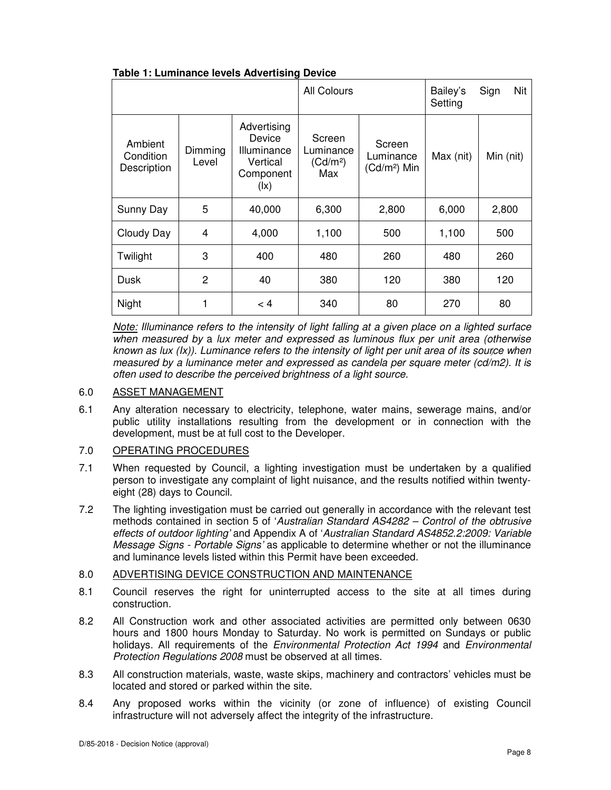| Table 1: Luminance levels Advertising Device |  |
|----------------------------------------------|--|
|----------------------------------------------|--|

|                                     |                  |                                                                                           | All Colours                                        |                                      | Bailey's<br>Setting | Nit<br>Sign |
|-------------------------------------|------------------|-------------------------------------------------------------------------------------------|----------------------------------------------------|--------------------------------------|---------------------|-------------|
| Ambient<br>Condition<br>Description | Dimming<br>Level | Advertising<br>Device<br>Illuminance<br>Vertical<br>Component<br>$(\mathsf{I}\mathsf{x})$ | Screen<br>Luminance<br>(Cd/m <sup>2</sup> )<br>Max | Screen<br>Luminance<br>$(Cd/m2)$ Min | Max (nit)           | Min (nit)   |
| Sunny Day                           | 5                | 40,000                                                                                    | 6,300                                              | 2,800                                | 6,000               | 2,800       |
| Cloudy Day                          | 4                | 4,000                                                                                     | 1,100                                              | 500                                  | 1,100               | 500         |
| Twilight                            | 3                | 400                                                                                       | 480                                                | 260                                  | 480                 | 260         |
| Dusk                                | $\overline{c}$   | 40                                                                                        | 380                                                | 120                                  | 380                 | 120         |
| Night                               |                  | < 4                                                                                       | 340                                                | 80                                   | 270                 | 80          |

*)* known as lux (Ix)). Luminance refers to the intensity of light per unit area of its source when Note: Illuminance refers to the intensity of light falling at a given place on a lighted surface when measured by a lux meter and expressed as luminous flux per unit area (otherwise measured by a luminance meter and expressed as candela per square meter (cd/m2). It is often used to describe the perceived brightness of a light source.

# 6.0 ASSET MANAGEMENT

6.1 Any alteration necessary to electricity, telephone, water mains, sewerage mains, and/or public utility installations resulting from the development or in connection with the development, must be at full cost to the Developer.

# 7.0 OPERATING PROCEDURES

- 7.1 When requested by Council, a lighting investigation must be undertaken by a qualified person to investigate any complaint of light nuisance, and the results notified within twentyeight (28) days to Council.
- 7.2 The lighting investigation must be carried out generally in accordance with the relevant test methods contained in section 5 of 'Australian Standard AS4282 – Control of the obtrusive effects of outdoor lighting' and Appendix A of 'Australian Standard AS4852.2:2009: Variable Message Signs - Portable Signs' as applicable to determine whether or not the illuminance and luminance levels listed within this Permit have been exceeded.

# 8.0 ADVERTISING DEVICE CONSTRUCTION AND MAINTENANCE

- 8.1 Council reserves the right for uninterrupted access to the site at all times during construction.
- 8.2 All Construction work and other associated activities are permitted only between 0630 hours and 1800 hours Monday to Saturday. No work is permitted on Sundays or public holidays. All requirements of the *Environmental Protection Act 1994* and *Environmental* Protection Regulations 2008 must be observed at all times.
- 8.3 All construction materials, waste, waste skips, machinery and contractors' vehicles must be located and stored or parked within the site.
- 8.4 Any proposed works within the vicinity (or zone of influence) of existing Council infrastructure will not adversely affect the integrity of the infrastructure.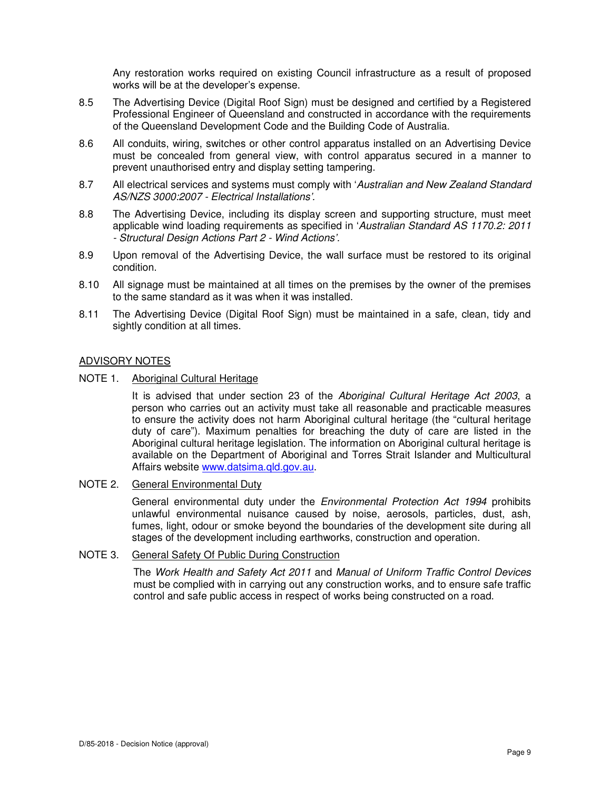Any restoration works required on existing Council infrastructure as a result of proposed works will be at the developer's expense.

- 8.5 The Advertising Device (Digital Roof Sign) must be designed and certified by a Registered Professional Engineer of Queensland and constructed in accordance with the requirements of the Queensland Development Code and the Building Code of Australia.
- 8.6 All conduits, wiring, switches or other control apparatus installed on an Advertising Device must be concealed from general view, with control apparatus secured in a manner to prevent unauthorised entry and display setting tampering.
- 8.7 All electrical services and systems must comply with 'Australian and New Zealand Standard AS/NZS 3000:2007 - Electrical Installations'.
- 8.8 The Advertising Device, including its display screen and supporting structure, must meet applicable wind loading requirements as specified in 'Australian Standard AS 1170.2: 2011 - Structural Design Actions Part 2 - Wind Actions'.
- 8.9 Upon removal of the Advertising Device, the wall surface must be restored to its original condition.
- 8.10 All signage must be maintained at all times on the premises by the owner of the premises to the same standard as it was when it was installed.
- 8.11 The Advertising Device (Digital Roof Sign) must be maintained in a safe, clean, tidy and sightly condition at all times.

#### ADVISORY NOTES

NOTE 1. Aboriginal Cultural Heritage

It is advised that under section 23 of the Aboriginal Cultural Heritage Act 2003, a person who carries out an activity must take all reasonable and practicable measures to ensure the activity does not harm Aboriginal cultural heritage (the "cultural heritage duty of care"). Maximum penalties for breaching the duty of care are listed in the Aboriginal cultural heritage legislation. The information on Aboriginal cultural heritage is available on the Department of Aboriginal and Torres Strait Islander and Multicultural Affairs website www.datsima.qld.gov.au.

NOTE 2. General Environmental Duty

General environmental duty under the *Environmental Protection Act 1994* prohibits unlawful environmental nuisance caused by noise, aerosols, particles, dust, ash, fumes, light, odour or smoke beyond the boundaries of the development site during all stages of the development including earthworks, construction and operation.

#### NOTE 3. General Safety Of Public During Construction

The Work Health and Safety Act 2011 and Manual of Uniform Traffic Control Devices must be complied with in carrying out any construction works, and to ensure safe traffic control and safe public access in respect of works being constructed on a road.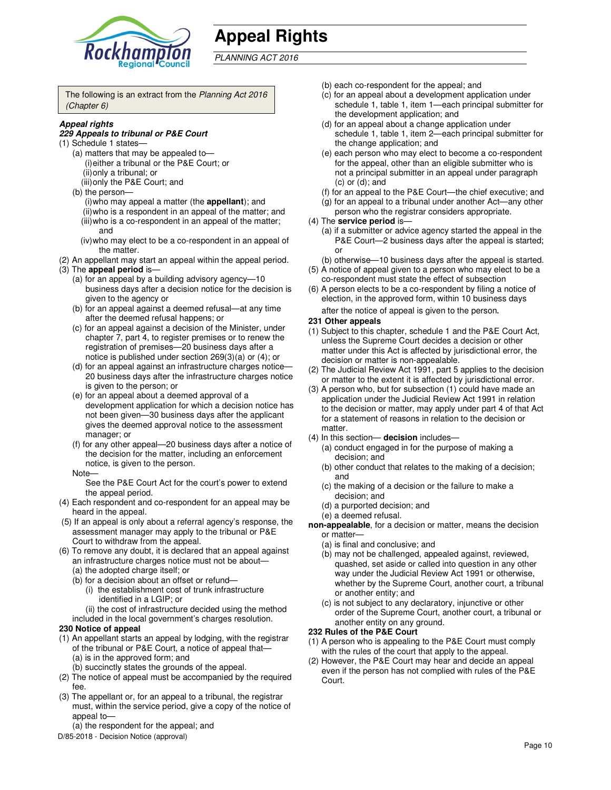

# **Appeal Rights**

# PLANNING ACT 2016

The following is an extract from the Planning Act 2016 (Chapter 6)

#### **Appeal rights**

#### **229 Appeals to tribunal or P&E Court**

- (1) Schedule 1 states—
	- (a) matters that may be appealed to— (i) either a tribunal or the P&E Court; or (ii) only a tribunal; or
	- (iii) only the P&E Court; and
	- (b) the person—
		- (i) who may appeal a matter (the **appellant**); and (ii) who is a respondent in an appeal of the matter; and
	- (iii) who is a co-respondent in an appeal of the matter; and
	- (iv) who may elect to be a co-respondent in an appeal of the matter.
- (2) An appellant may start an appeal within the appeal period. (3) The **appeal period** is—
	- (a) for an appeal by a building advisory agency—10 business days after a decision notice for the decision is given to the agency or
	- (b) for an appeal against a deemed refusal—at any time after the deemed refusal happens; or
	- (c) for an appeal against a decision of the Minister, under chapter 7, part 4, to register premises or to renew the registration of premises—20 business days after a notice is published under section 269(3)(a) or (4); or
	- (d) for an appeal against an infrastructure charges notice— 20 business days after the infrastructure charges notice is given to the person; or
	- (e) for an appeal about a deemed approval of a development application for which a decision notice has not been given—30 business days after the applicant gives the deemed approval notice to the assessment manager; or
	- (f) for any other appeal—20 business days after a notice of the decision for the matter, including an enforcement notice, is given to the person.
	- Note—

See the P&E Court Act for the court's power to extend the appeal period.

- (4) Each respondent and co-respondent for an appeal may be heard in the appeal.
- (5) If an appeal is only about a referral agency's response, the assessment manager may apply to the tribunal or P&E Court to withdraw from the appeal.
- (6) To remove any doubt, it is declared that an appeal against an infrastructure charges notice must not be about—
	- (a) the adopted charge itself; or
	- (b) for a decision about an offset or refund—
		- (i) the establishment cost of trunk infrastructure identified in a LGIP; or
		- (ii) the cost of infrastructure decided using the method
	- included in the local government's charges resolution.

#### **230 Notice of appeal**

- (1) An appellant starts an appeal by lodging, with the registrar of the tribunal or P&E Court, a notice of appeal that— (a) is in the approved form; and
	- (b) succinctly states the grounds of the appeal.
- (2) The notice of appeal must be accompanied by the required fee.
- (3) The appellant or, for an appeal to a tribunal, the registrar must, within the service period, give a copy of the notice of appeal to—
	- (a) the respondent for the appeal; and
- D/85-2018 Decision Notice (approval)
- (b) each co-respondent for the appeal; and
- (c) for an appeal about a development application under schedule 1, table 1, item 1—each principal submitter for the development application; and
- (d) for an appeal about a change application under schedule 1, table 1, item 2—each principal submitter for the change application; and
- (e) each person who may elect to become a co-respondent for the appeal, other than an eligible submitter who is not a principal submitter in an appeal under paragraph (c) or (d); and
- (f) for an appeal to the P&E Court—the chief executive; and
- (g) for an appeal to a tribunal under another Act—any other person who the registrar considers appropriate.
- (4) The **service period** is—
	- (a) if a submitter or advice agency started the appeal in the P&E Court—2 business days after the appeal is started; or
	- (b) otherwise—10 business days after the appeal is started.
- (5) A notice of appeal given to a person who may elect to be a co-respondent must state the effect of subsection
- (6) A person elects to be a co-respondent by filing a notice of election, in the approved form, within 10 business days after the notice of appeal is given to the person*.*

#### **231 Other appeals**

- (1) Subject to this chapter, schedule 1 and the P&E Court Act, unless the Supreme Court decides a decision or other matter under this Act is affected by jurisdictional error, the decision or matter is non-appealable.
- (2) The Judicial Review Act 1991, part 5 applies to the decision or matter to the extent it is affected by jurisdictional error.
- (3) A person who, but for subsection (1) could have made an application under the Judicial Review Act 1991 in relation to the decision or matter, may apply under part 4 of that Act for a statement of reasons in relation to the decision or matter.
- (4) In this section— **decision** includes—
	- (a) conduct engaged in for the purpose of making a decision; and
	- (b) other conduct that relates to the making of a decision; and
	- (c) the making of a decision or the failure to make a decision; and
	- (d) a purported decision; and
	- (e) a deemed refusal.

**non-appealable**, for a decision or matter, means the decision or matter—

- (a) is final and conclusive; and
- (b) may not be challenged, appealed against, reviewed, quashed, set aside or called into question in any other way under the Judicial Review Act 1991 or otherwise, whether by the Supreme Court, another court, a tribunal or another entity; and
- (c) is not subject to any declaratory, injunctive or other order of the Supreme Court, another court, a tribunal or another entity on any ground.

#### **232 Rules of the P&E Court**

- (1) A person who is appealing to the P&E Court must comply with the rules of the court that apply to the appeal.
- (2) However, the P&E Court may hear and decide an appeal even if the person has not complied with rules of the P&E Court.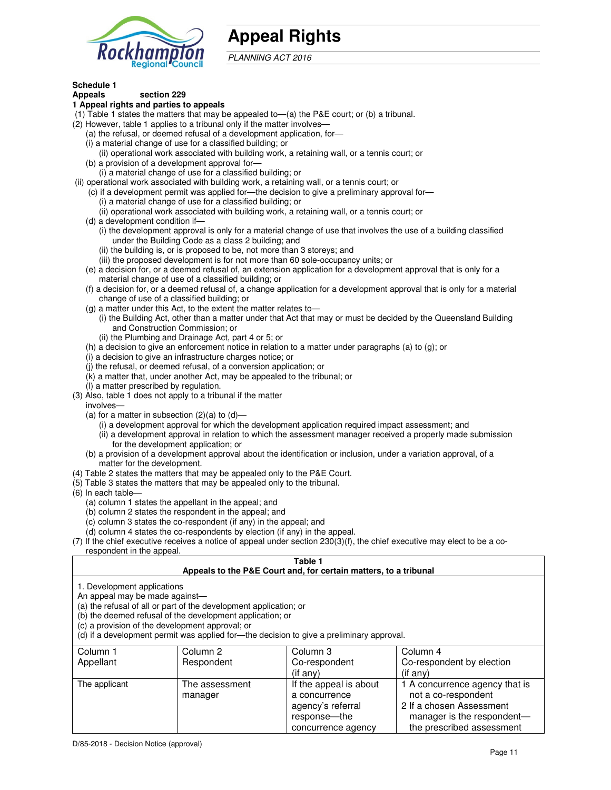

# **Appeal Rights**

PLANNING ACT 2016

#### **Schedule 1 Appeals section 229**

# **1 Appeal rights and parties to appeals**

- (1) Table 1 states the matters that may be appealed to—(a) the P&E court; or (b) a tribunal.
- (2) However, table 1 applies to a tribunal only if the matter involves—
	- (a) the refusal, or deemed refusal of a development application, for—
	- (i) a material change of use for a classified building; or
	- (ii) operational work associated with building work, a retaining wall, or a tennis court; or (b) a provision of a development approval for—
	- (i) a material change of use for a classified building; or
- (ii) operational work associated with building work, a retaining wall, or a tennis court; or
	- (c) if a development permit was applied for—the decision to give a preliminary approval for—
		- (i) a material change of use for a classified building; or
		- (ii) operational work associated with building work, a retaining wall, or a tennis court; or
	- (d) a development condition if—
		- (i) the development approval is only for a material change of use that involves the use of a building classified under the Building Code as a class 2 building; and
		- (ii) the building is, or is proposed to be, not more than 3 storeys; and
		- (iii) the proposed development is for not more than 60 sole-occupancy units; or
	- (e) a decision for, or a deemed refusal of, an extension application for a development approval that is only for a material change of use of a classified building; or
	- (f) a decision for, or a deemed refusal of, a change application for a development approval that is only for a material change of use of a classified building; or
	- (g) a matter under this Act, to the extent the matter relates to—
		- (i) the Building Act, other than a matter under that Act that may or must be decided by the Queensland Building and Construction Commission; or
		- (ii) the Plumbing and Drainage Act, part 4 or 5; or
	- (h) a decision to give an enforcement notice in relation to a matter under paragraphs (a) to (g); or
	- (i) a decision to give an infrastructure charges notice; or
	- (j) the refusal, or deemed refusal, of a conversion application; or
	- (k) a matter that, under another Act, may be appealed to the tribunal; or
	- (l) a matter prescribed by regulation.
- (3) Also, table 1 does not apply to a tribunal if the matter
- involves—
	- (a) for a matter in subsection  $(2)(a)$  to  $(d)$ 
		- (i) a development approval for which the development application required impact assessment; and
		- (ii) a development approval in relation to which the assessment manager received a properly made submission for the development application; or
	- (b) a provision of a development approval about the identification or inclusion, under a variation approval, of a matter for the development.
- (4) Table 2 states the matters that may be appealed only to the P&E Court.
- (5) Table 3 states the matters that may be appealed only to the tribunal.
- (6) In each table—
	- (a) column 1 states the appellant in the appeal; and
	- (b) column 2 states the respondent in the appeal; and
	- (c) column 3 states the co-respondent (if any) in the appeal; and
	- (d) column 4 states the co-respondents by election (if any) in the appeal.
- (7) If the chief executive receives a notice of appeal under section 230(3)(f), the chief executive may elect to be a corespondent in the appeal.

#### **Table 1**

| Appeals to the P&E Court and, for certain matters, to a tribunal |
|------------------------------------------------------------------|
|                                                                  |

1. Development applications

An appeal may be made against—

(a) the refusal of all or part of the development application; or

(b) the deemed refusal of the development application; or

(c) a provision of the development approval; or

(d) if a development permit was applied for—the decision to give a preliminary approval.

| Column 1      | Column 2       | Column 3               | Column 4                       |
|---------------|----------------|------------------------|--------------------------------|
| Appellant     | Respondent     | Co-respondent          | Co-respondent by election      |
|               |                | $($ if any $)$         | $($ if any $)$                 |
| The applicant | The assessment | If the appeal is about | 1 A concurrence agency that is |
|               | manager        | a concurrence          | not a co-respondent            |
|               |                | agency's referral      | 2 If a chosen Assessment       |
|               |                | response---the         | manager is the respondent-     |
|               |                | concurrence agency     | the prescribed assessment      |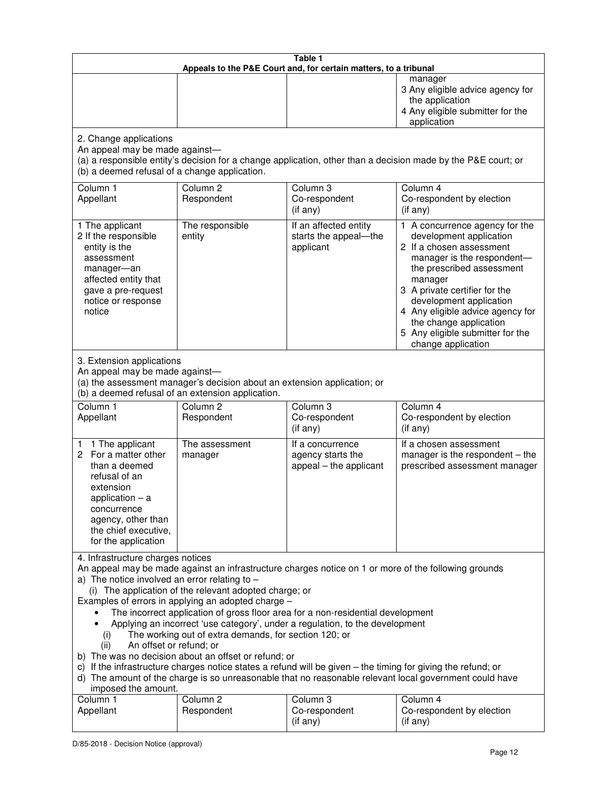| Table 1<br>Appeals to the P&E Court and, for certain matters, to a tribunal                                                                                                                                                                                                                                                                                                                                                                                                                                                                                                                                                                                                                                                                                                                                                                                                                 |                                                                                                                               |                                                                 |                                                                                                                                                                                                                                                                                                                                                 |  |  |
|---------------------------------------------------------------------------------------------------------------------------------------------------------------------------------------------------------------------------------------------------------------------------------------------------------------------------------------------------------------------------------------------------------------------------------------------------------------------------------------------------------------------------------------------------------------------------------------------------------------------------------------------------------------------------------------------------------------------------------------------------------------------------------------------------------------------------------------------------------------------------------------------|-------------------------------------------------------------------------------------------------------------------------------|-----------------------------------------------------------------|-------------------------------------------------------------------------------------------------------------------------------------------------------------------------------------------------------------------------------------------------------------------------------------------------------------------------------------------------|--|--|
|                                                                                                                                                                                                                                                                                                                                                                                                                                                                                                                                                                                                                                                                                                                                                                                                                                                                                             |                                                                                                                               |                                                                 | manager<br>3 Any eligible advice agency for<br>the application<br>4 Any eligible submitter for the<br>application                                                                                                                                                                                                                               |  |  |
| 2. Change applications<br>An appeal may be made against-<br>(b) a deemed refusal of a change application.                                                                                                                                                                                                                                                                                                                                                                                                                                                                                                                                                                                                                                                                                                                                                                                   |                                                                                                                               |                                                                 | (a) a responsible entity's decision for a change application, other than a decision made by the P&E court; or                                                                                                                                                                                                                                   |  |  |
| Column 1<br>Appellant                                                                                                                                                                                                                                                                                                                                                                                                                                                                                                                                                                                                                                                                                                                                                                                                                                                                       | Column <sub>2</sub><br>Respondent                                                                                             | Column 3<br>Co-respondent<br>(if any)                           | Column 4<br>Co-respondent by election<br>(if any)                                                                                                                                                                                                                                                                                               |  |  |
| 1 The applicant<br>2 If the responsible<br>entity is the<br>assessment<br>manager-an<br>affected entity that<br>gave a pre-request<br>notice or response<br>notice                                                                                                                                                                                                                                                                                                                                                                                                                                                                                                                                                                                                                                                                                                                          | The responsible<br>entity                                                                                                     | If an affected entity<br>starts the appeal-the<br>applicant     | 1 A concurrence agency for the<br>development application<br>2 If a chosen assessment<br>manager is the respondent-<br>the prescribed assessment<br>manager<br>3 A private certifier for the<br>development application<br>4 Any eligible advice agency for<br>the change application<br>5 Any eligible submitter for the<br>change application |  |  |
| 3. Extension applications<br>An appeal may be made against-                                                                                                                                                                                                                                                                                                                                                                                                                                                                                                                                                                                                                                                                                                                                                                                                                                 | (a) the assessment manager's decision about an extension application; or<br>(b) a deemed refusal of an extension application. |                                                                 |                                                                                                                                                                                                                                                                                                                                                 |  |  |
| Column 1<br>Appellant                                                                                                                                                                                                                                                                                                                                                                                                                                                                                                                                                                                                                                                                                                                                                                                                                                                                       | Column <sub>2</sub><br>Respondent                                                                                             | Column 3<br>Co-respondent<br>(if any)                           | Column 4<br>Co-respondent by election<br>(if any)                                                                                                                                                                                                                                                                                               |  |  |
| 1 1 The applicant<br>2 For a matter other<br>than a deemed<br>refusal of an<br>extension<br>application $-$ a<br>concurrence<br>agency, other than<br>the chief executive,<br>for the application                                                                                                                                                                                                                                                                                                                                                                                                                                                                                                                                                                                                                                                                                           | The assessment<br>manager                                                                                                     | If a concurrence<br>agency starts the<br>appeal - the applicant | If a chosen assessment<br>manager is the respondent $-$ the<br>prescribed assessment manager                                                                                                                                                                                                                                                    |  |  |
| 4. Infrastructure charges notices<br>An appeal may be made against an infrastructure charges notice on 1 or more of the following grounds<br>a) The notice involved an error relating to $-$<br>(i) The application of the relevant adopted charge; or<br>Examples of errors in applying an adopted charge -<br>The incorrect application of gross floor area for a non-residential development<br>Applying an incorrect 'use category', under a regulation, to the development<br>The working out of extra demands, for section 120; or<br>(i)<br>An offset or refund; or<br>(ii)<br>b) The was no decision about an offset or refund; or<br>c) If the infrastructure charges notice states a refund will be given - the timing for giving the refund; or<br>d) The amount of the charge is so unreasonable that no reasonable relevant local government could have<br>imposed the amount. |                                                                                                                               |                                                                 |                                                                                                                                                                                                                                                                                                                                                 |  |  |
| Column 1<br>Appellant                                                                                                                                                                                                                                                                                                                                                                                                                                                                                                                                                                                                                                                                                                                                                                                                                                                                       | Column <sub>2</sub><br>Respondent                                                                                             | Column 3<br>Co-respondent<br>(if any)                           | Column 4<br>Co-respondent by election<br>(if any)                                                                                                                                                                                                                                                                                               |  |  |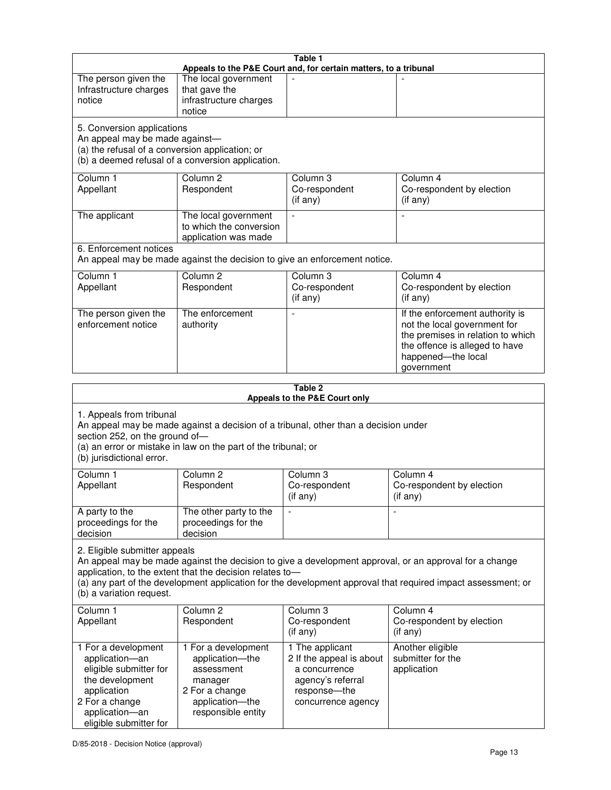|                                                                                                                                                                                                                                                                                                                                                 |                                                                                                                                                       | Table 1<br>Appeals to the P&E Court and, for certain matters, to a tribunal                                             |                                                                                                                                                                            |  |  |  |
|-------------------------------------------------------------------------------------------------------------------------------------------------------------------------------------------------------------------------------------------------------------------------------------------------------------------------------------------------|-------------------------------------------------------------------------------------------------------------------------------------------------------|-------------------------------------------------------------------------------------------------------------------------|----------------------------------------------------------------------------------------------------------------------------------------------------------------------------|--|--|--|
| The person given the<br>Infrastructure charges<br>notice                                                                                                                                                                                                                                                                                        | The local government<br>that gave the<br>infrastructure charges                                                                                       | ÷,                                                                                                                      |                                                                                                                                                                            |  |  |  |
|                                                                                                                                                                                                                                                                                                                                                 | notice                                                                                                                                                |                                                                                                                         |                                                                                                                                                                            |  |  |  |
| 5. Conversion applications<br>An appeal may be made against-<br>(a) the refusal of a conversion application; or                                                                                                                                                                                                                                 | (b) a deemed refusal of a conversion application.                                                                                                     |                                                                                                                         |                                                                                                                                                                            |  |  |  |
| Column 1<br>Appellant                                                                                                                                                                                                                                                                                                                           | Column <sub>2</sub><br>Respondent                                                                                                                     | Column 3<br>Co-respondent<br>(if any)                                                                                   | Column 4<br>Co-respondent by election<br>(if any)                                                                                                                          |  |  |  |
| The applicant                                                                                                                                                                                                                                                                                                                                   | The local government<br>to which the conversion<br>application was made                                                                               | L.                                                                                                                      | J.                                                                                                                                                                         |  |  |  |
| 6. Enforcement notices                                                                                                                                                                                                                                                                                                                          | An appeal may be made against the decision to give an enforcement notice.                                                                             |                                                                                                                         |                                                                                                                                                                            |  |  |  |
| Column <sub>1</sub><br>Appellant                                                                                                                                                                                                                                                                                                                | Column <sub>2</sub><br>Respondent                                                                                                                     | Column 3<br>Co-respondent<br>(if any)                                                                                   | Column 4<br>Co-respondent by election<br>(if any)                                                                                                                          |  |  |  |
| The person given the<br>enforcement notice                                                                                                                                                                                                                                                                                                      | The enforcement<br>authority                                                                                                                          |                                                                                                                         | If the enforcement authority is<br>not the local government for<br>the premises in relation to which<br>the offence is alleged to have<br>happened-the local<br>government |  |  |  |
| Table 2                                                                                                                                                                                                                                                                                                                                         |                                                                                                                                                       |                                                                                                                         |                                                                                                                                                                            |  |  |  |
|                                                                                                                                                                                                                                                                                                                                                 |                                                                                                                                                       | Appeals to the P&E Court only                                                                                           |                                                                                                                                                                            |  |  |  |
| 1. Appeals from tribunal<br>section 252, on the ground of-                                                                                                                                                                                                                                                                                      | An appeal may be made against a decision of a tribunal, other than a decision under<br>(a) an error or mistake in law on the part of the tribunal; or |                                                                                                                         |                                                                                                                                                                            |  |  |  |
| (b) jurisdictional error.                                                                                                                                                                                                                                                                                                                       |                                                                                                                                                       |                                                                                                                         |                                                                                                                                                                            |  |  |  |
| Column 1<br>Appellant                                                                                                                                                                                                                                                                                                                           | Column <sub>2</sub><br>Respondent                                                                                                                     | Column 3<br>Co-respondent<br>(if any)                                                                                   | Column 4<br>Co-respondent by election<br>(if any)                                                                                                                          |  |  |  |
| A party to the<br>proceedings for the<br>decision                                                                                                                                                                                                                                                                                               | The other party to the<br>proceedings for the<br>decision                                                                                             |                                                                                                                         |                                                                                                                                                                            |  |  |  |
| 2. Eligible submitter appeals<br>An appeal may be made against the decision to give a development approval, or an approval for a change<br>application, to the extent that the decision relates to-<br>(a) any part of the development application for the development approval that required impact assessment; or<br>(b) a variation request. |                                                                                                                                                       |                                                                                                                         |                                                                                                                                                                            |  |  |  |
| Column 1<br>Appellant                                                                                                                                                                                                                                                                                                                           | Column 2<br>Respondent                                                                                                                                | Column 3<br>Co-respondent<br>(if any)                                                                                   | Column 4<br>Co-respondent by election<br>(if any)                                                                                                                          |  |  |  |
| 1 For a development<br>application-an<br>eligible submitter for<br>the development<br>application<br>2 For a change<br>application-an                                                                                                                                                                                                           | 1 For a development<br>application-the<br>assessment<br>manager<br>2 For a change<br>application-the<br>responsible entity                            | 1 The applicant<br>2 If the appeal is about<br>a concurrence<br>agency's referral<br>response-the<br>concurrence agency | Another eligible<br>submitter for the<br>application                                                                                                                       |  |  |  |

eligible submitter for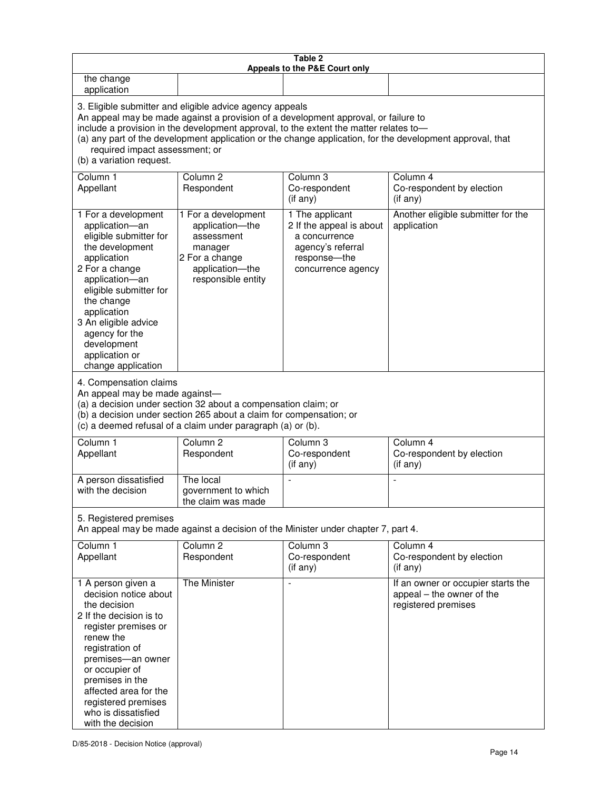| Table 2<br>Appeals to the P&E Court only                                                                                                                                                                                                                                                                                                                                                                           |                                                                                                                                                                                                      |                                                                                                                         |                                                                                        |  |  |
|--------------------------------------------------------------------------------------------------------------------------------------------------------------------------------------------------------------------------------------------------------------------------------------------------------------------------------------------------------------------------------------------------------------------|------------------------------------------------------------------------------------------------------------------------------------------------------------------------------------------------------|-------------------------------------------------------------------------------------------------------------------------|----------------------------------------------------------------------------------------|--|--|
| the change<br>application                                                                                                                                                                                                                                                                                                                                                                                          |                                                                                                                                                                                                      |                                                                                                                         |                                                                                        |  |  |
| 3. Eligible submitter and eligible advice agency appeals<br>An appeal may be made against a provision of a development approval, or failure to<br>include a provision in the development approval, to the extent the matter relates to-<br>(a) any part of the development application or the change application, for the development approval, that<br>required impact assessment; or<br>(b) a variation request. |                                                                                                                                                                                                      |                                                                                                                         |                                                                                        |  |  |
| Column 1<br>Appellant                                                                                                                                                                                                                                                                                                                                                                                              | Column <sub>2</sub><br>Respondent                                                                                                                                                                    | Column <sub>3</sub><br>Co-respondent<br>(if any)                                                                        | Column 4<br>Co-respondent by election<br>(if any)                                      |  |  |
| 1 For a development<br>application-an<br>eligible submitter for<br>the development<br>application<br>2 For a change<br>application-an<br>eligible submitter for<br>the change<br>application<br>3 An eligible advice<br>agency for the<br>development<br>application or<br>change application                                                                                                                      | 1 For a development<br>application-the<br>assessment<br>manager<br>2 For a change<br>application-the<br>responsible entity                                                                           | 1 The applicant<br>2 If the appeal is about<br>a concurrence<br>agency's referral<br>response-the<br>concurrence agency | Another eligible submitter for the<br>application                                      |  |  |
| 4. Compensation claims<br>An appeal may be made against-                                                                                                                                                                                                                                                                                                                                                           | (a) a decision under section 32 about a compensation claim; or<br>(b) a decision under section 265 about a claim for compensation; or<br>(c) a deemed refusal of a claim under paragraph (a) or (b). |                                                                                                                         |                                                                                        |  |  |
| Column <sub>1</sub><br>Appellant                                                                                                                                                                                                                                                                                                                                                                                   | Column <sub>2</sub><br>Respondent                                                                                                                                                                    | Column 3<br>Co-respondent<br>(if any)                                                                                   | Column 4<br>Co-respondent by election<br>(if any)                                      |  |  |
| A person dissatisfied<br>with the decision                                                                                                                                                                                                                                                                                                                                                                         | The local<br>government to which<br>the claim was made                                                                                                                                               |                                                                                                                         |                                                                                        |  |  |
| 5. Registered premises                                                                                                                                                                                                                                                                                                                                                                                             |                                                                                                                                                                                                      | An appeal may be made against a decision of the Minister under chapter 7, part 4.                                       |                                                                                        |  |  |
| Column 1<br>Appellant                                                                                                                                                                                                                                                                                                                                                                                              | Column <sub>2</sub><br>Respondent                                                                                                                                                                    | Column <sub>3</sub><br>Co-respondent<br>(if any)                                                                        | Column 4<br>Co-respondent by election<br>(if any)                                      |  |  |
| 1 A person given a<br>decision notice about<br>the decision<br>2 If the decision is to<br>register premises or<br>renew the<br>registration of<br>premises-an owner<br>or occupier of<br>premises in the<br>affected area for the<br>registered premises<br>who is dissatisfied<br>with the decision                                                                                                               | The Minister                                                                                                                                                                                         | ÷,                                                                                                                      | If an owner or occupier starts the<br>appeal – the owner of the<br>registered premises |  |  |